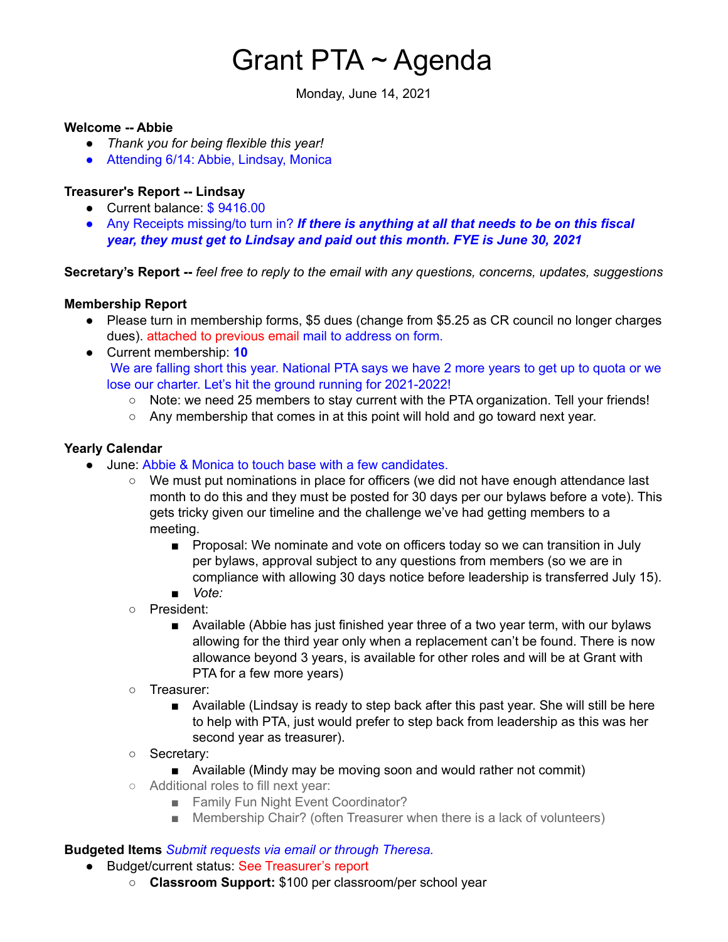# Grant PTA ~ Agenda

Monday, June 14, 2021

#### **Welcome -- Abbie**

- *Thank you for being flexible this year!*
- Attending 6/14: Abbie, Lindsay, Monica

## **Treasurer's Report -- Lindsay**

- Current balance: \$9416.00
- Any Receipts missing/to turn in? *If there is anything at all that needs to be on this fiscal year, they must get to Lindsay and paid out this month. FYE is June 30, 2021*

**Secretary's Report --** *feel free to reply to the email with any questions, concerns, updates, suggestions*

## **Membership Report**

- Please turn in membership forms, \$5 dues (change from \$5.25 as CR council no longer charges dues). attached to previous email mail to address on form.
- Current membership: **10** We are falling short this year. National PTA says we have 2 more years to get up to quota or we lose our charter. Let's hit the ground running for 2021-2022!
	- Note: we need 25 members to stay current with the PTA organization. Tell your friends!
	- $\circ$  Any membership that comes in at this point will hold and go toward next year.

## **Yearly Calendar**

- June: Abbie & Monica to touch base with a few candidates.
	- We must put nominations in place for officers (we did not have enough attendance last month to do this and they must be posted for 30 days per our bylaws before a vote). This gets tricky given our timeline and the challenge we've had getting members to a meeting.
		- Proposal: We nominate and vote on officers today so we can transition in July per bylaws, approval subject to any questions from members (so we are in compliance with allowing 30 days notice before leadership is transferred July 15).
		- *■ Vote:*
	- President:
		- Available (Abbie has just finished year three of a two year term, with our bylaws allowing for the third year only when a replacement can't be found. There is now allowance beyond 3 years, is available for other roles and will be at Grant with PTA for a few more years)
	- Treasurer:
		- Available (Lindsay is ready to step back after this past year. She will still be here to help with PTA, just would prefer to step back from leadership as this was her second year as treasurer).
	- Secretary:
		- Available (Mindy may be moving soon and would rather not commit)
	- Additional roles to fill next year:
		- Family Fun Night Event Coordinator?
		- Membership Chair? (often Treasurer when there is a lack of volunteers)

## **Budgeted Items** *Submit requests via email or through Theresa.*

- Budget/current status: See Treasurer's report
	- **Classroom Support:** \$100 per classroom/per school year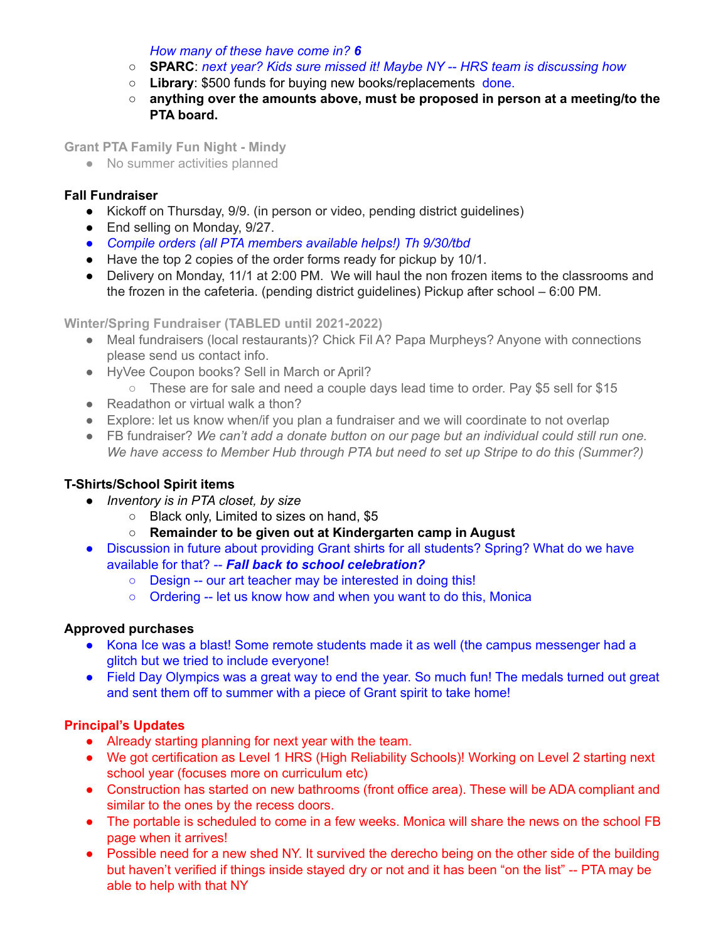*How many of these have come in? 6*

- **SPARC**: *next year? Kids sure missed it! Maybe NY -- HRS team is discussing how*
- **Library**: \$500 funds for buying new books/replacements done.
- **anything over the amounts above, must be proposed in person at a meeting/to the PTA board.**

**Grant PTA Family Fun Night - Mindy**

• No summer activities planned

## **Fall Fundraiser**

- Kickoff on Thursday, 9/9. (in person or video, pending district guidelines)
- End selling on Monday, 9/27.
- *● Compile orders (all PTA members available helps!) Th 9/30/tbd*
- Have the top 2 copies of the order forms ready for pickup by 10/1.
- Delivery on Monday, 11/1 at 2:00 PM. We will haul the non frozen items to the classrooms and the frozen in the cafeteria. (pending district guidelines) Pickup after school – 6:00 PM.

**Winter/Spring Fundraiser (TABLED until 2021-2022)**

- Meal fundraisers (local restaurants)? Chick Fil A? Papa Murpheys? Anyone with connections please send us contact info.
- HyVee Coupon books? Sell in March or April?
	- These are for sale and need a couple days lead time to order. Pay \$5 sell for \$15
- $\bullet$  Readathon or virtual walk a thon?
- Explore: let us know when/if you plan a fundraiser and we will coordinate to not overlap
- FB fundraiser? *We can't add a donate button on our page but an individual could still run one. We have access to Member Hub through PTA but need to set up Stripe to do this (Summer?)*

# **T-Shirts/School Spirit items**

- *● Inventory is in PTA closet, by size*
	- Black only, Limited to sizes on hand, \$5
	- **○ Remainder to be given out at Kindergarten camp in August**
- Discussion in future about providing Grant shirts for all students? Spring? What do we have available for that? -- *Fall back to school celebration?*
	- Design -- our art teacher may be interested in doing this!
	- Ordering -- let us know how and when you want to do this, Monica

# **Approved purchases**

- Kona Ice was a blast! Some remote students made it as well (the campus messenger had a glitch but we tried to include everyone!
- Field Day Olympics was a great way to end the year. So much fun! The medals turned out great and sent them off to summer with a piece of Grant spirit to take home!

# **Principal's Updates**

- Already starting planning for next year with the team.
- We got certification as Level 1 HRS (High Reliability Schools)! Working on Level 2 starting next school year (focuses more on curriculum etc)
- Construction has started on new bathrooms (front office area). These will be ADA compliant and similar to the ones by the recess doors.
- The portable is scheduled to come in a few weeks. Monica will share the news on the school FB page when it arrives!
- Possible need for a new shed NY. It survived the derecho being on the other side of the building but haven't verified if things inside stayed dry or not and it has been "on the list" -- PTA may be able to help with that NY